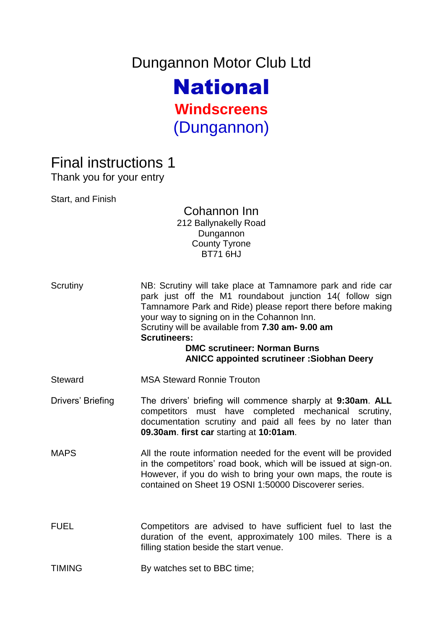Dungannon Motor Club Ltd National

**Windscreens** (Dungannon)

## Final instructions 1

Thank you for your entry

Start, and Finish

## Cohannon Inn 212 Ballynakelly Road Dungannon County Tyrone BT71 6HJ

- Scrutiny MB: Scrutiny will take place at Tamnamore park and ride car park just off the M1 roundabout junction 14( follow sign Tamnamore Park and Ride) please report there before making your way to signing on in the Cohannon Inn. Scrutiny will be available from **7.30 am- 9.00 am Scrutineers: DMC scrutineer: Norman Burns ANICC appointed scrutineer :Siobhan Deery** Steward MSA Steward Ronnie Trouton Drivers' Briefing The drivers' briefing will commence sharply at **9:30am**. **ALL**  competitors must have completed mechanical scrutiny, documentation scrutiny and paid all fees by no later than **09.30am**. **first car** starting at **10:01am**. MAPS All the route information needed for the event will be provided
- in the competitors' road book, which will be issued at sign-on. However, if you do wish to bring your own maps, the route is contained on Sheet 19 OSNI 1:50000 Discoverer series.
- FUEL Competitors are advised to have sufficient fuel to last the duration of the event, approximately 100 miles. There is a filling station beside the start venue.
- TIMING By watches set to BBC time;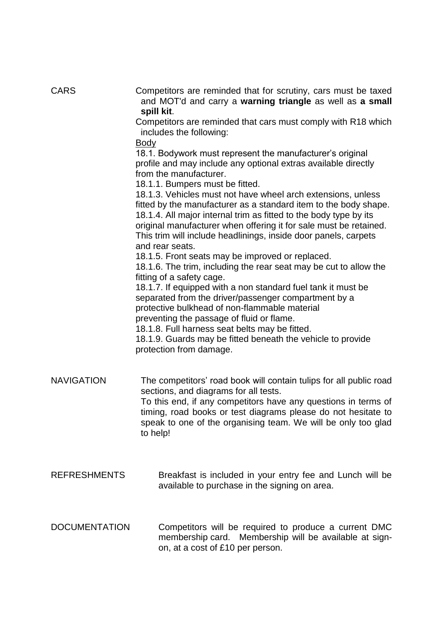| <b>CARS</b>          | Competitors are reminded that for scrutiny, cars must be taxed<br>and MOT'd and carry a warning triangle as well as a small<br>spill kit.<br>Competitors are reminded that cars must comply with R18 which                                                                                                                                                       |
|----------------------|------------------------------------------------------------------------------------------------------------------------------------------------------------------------------------------------------------------------------------------------------------------------------------------------------------------------------------------------------------------|
|                      | includes the following:                                                                                                                                                                                                                                                                                                                                          |
|                      | <b>Body</b>                                                                                                                                                                                                                                                                                                                                                      |
|                      | 18.1. Bodywork must represent the manufacturer's original<br>profile and may include any optional extras available directly<br>from the manufacturer.<br>18.1.1. Bumpers must be fitted.                                                                                                                                                                         |
|                      | 18.1.3. Vehicles must not have wheel arch extensions, unless<br>fitted by the manufacturer as a standard item to the body shape.<br>18.1.4. All major internal trim as fitted to the body type by its<br>original manufacturer when offering it for sale must be retained.<br>This trim will include headlinings, inside door panels, carpets<br>and rear seats. |
|                      | 18.1.5. Front seats may be improved or replaced.<br>18.1.6. The trim, including the rear seat may be cut to allow the<br>fitting of a safety cage.                                                                                                                                                                                                               |
|                      | 18.1.7. If equipped with a non standard fuel tank it must be<br>separated from the driver/passenger compartment by a<br>protective bulkhead of non-flammable material<br>preventing the passage of fluid or flame.                                                                                                                                               |
|                      | 18.1.8. Full harness seat belts may be fitted.<br>18.1.9. Guards may be fitted beneath the vehicle to provide<br>protection from damage.                                                                                                                                                                                                                         |
| <b>NAVIGATION</b>    | The competitors' road book will contain tulips for all public road<br>sections, and diagrams for all tests.                                                                                                                                                                                                                                                      |
|                      | To this end, if any competitors have any questions in terms of<br>timing, road books or test diagrams please do not hesitate to<br>speak to one of the organising team. We will be only too glad<br>to help!                                                                                                                                                     |
| <b>REFRESHMENTS</b>  | Breakfast is included in your entry fee and Lunch will be<br>available to purchase in the signing on area.                                                                                                                                                                                                                                                       |
| <b>DOCUMENTATION</b> | Competitors will be required to produce a current DMC<br>membership card. Membership will be available at sign-<br>on, at a cost of £10 per person.                                                                                                                                                                                                              |
|                      |                                                                                                                                                                                                                                                                                                                                                                  |